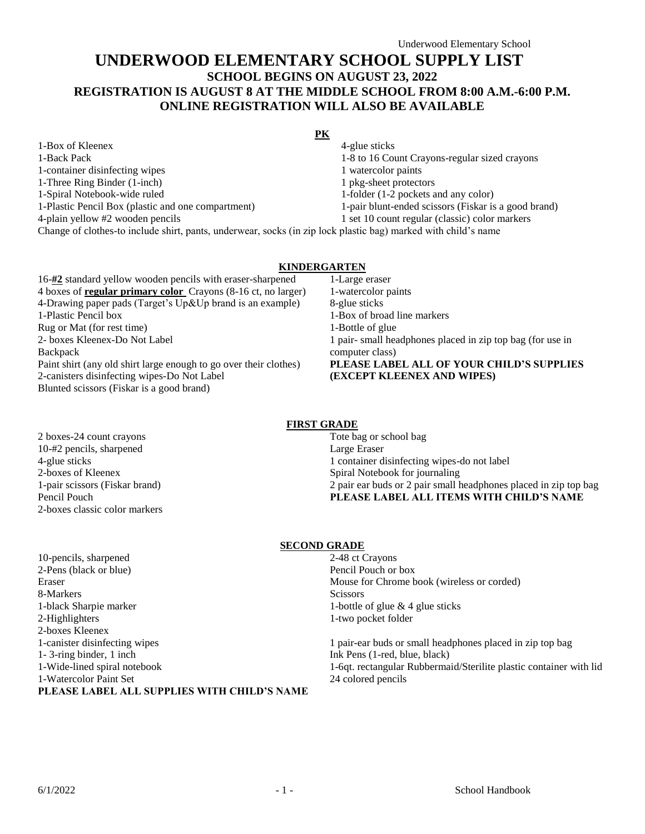# **UNDERWOOD ELEMENTARY SCHOOL SUPPLY LIST SCHOOL BEGINS ON AUGUST 23, 2022 REGISTRATION IS AUGUST 8 AT THE MIDDLE SCHOOL FROM 8:00 A.M.-6:00 P.M. ONLINE REGISTRATION WILL ALSO BE AVAILABLE**

**PK** 1-Box of Kleenex 1-Back Pack 1-container disinfecting wipes 4-glue sticks 1-8 to 16 Count Crayons-regular sized crayons 1 watercolor paints 1-Three Ring Binder (1-inch) 1 pkg-sheet protectors 1-Spiral Notebook-wide ruled 1-folder (1-2 pockets and any color) 1-Plastic Pencil Box (plastic and one compartment) 1-pair blunt-ended scissors (Fiskar is a good brand) 4-plain yellow #2 wooden pencils 1 set 10 count regular (classic) color markers Change of clothes-to include shirt, pants, underwear, socks (in zip lock plastic bag) marked with child's name

### **KINDERGARTEN**

16-**#2** standard yellow wooden pencils with eraser-sharpened 4 boxes of **regular primary color** Crayons (8-16 ct, no larger) 4-Drawing paper pads (Target's Up&Up brand is an example) 1-Plastic Pencil box Rug or Mat (for rest time) 2- boxes Kleenex-Do Not Label Backpack Paint shirt (any old shirt large enough to go over their clothes) 2-canisters disinfecting wipes-Do Not Label Blunted scissors (Fiskar is a good brand)

1-Large eraser 1-watercolor paints 8-glue sticks 1-Box of broad line markers 1-Bottle of glue 1 pair- small headphones placed in zip top bag (for use in computer class) **PLEASE LABEL ALL OF YOUR CHILD'S SUPPLIES (EXCEPT KLEENEX AND WIPES)**

## **FIRST GRADE**

2 boxes-24 count crayons 10-#2 pencils, sharpened 4-glue sticks 2-boxes of Kleenex 1-pair scissors (Fiskar brand) Pencil Pouch 2-boxes classic color markers Tote bag or school bag Large Eraser 1 container disinfecting wipes-do not label Spiral Notebook for journaling 2 pair ear buds or 2 pair small headphones placed in zip top bag **PLEASE LABEL ALL ITEMS WITH CHILD'S NAME**

## **SECOND GRADE**

| 10-pencils, sharpened                       | 2-48 ct Crayons                                                    |
|---------------------------------------------|--------------------------------------------------------------------|
| 2-Pens (black or blue)                      | Pencil Pouch or box                                                |
| Eraser                                      | Mouse for Chrome book (wireless or corded)                         |
| 8-Markers                                   | <b>Scissors</b>                                                    |
| 1-black Sharpie marker                      | 1-bottle of glue $\&$ 4 glue sticks                                |
| 2-Highlighters                              | 1-two pocket folder                                                |
| 2-boxes Kleenex                             |                                                                    |
| 1-canister disinfecting wipes               | 1 pair-ear buds or small headphones placed in zip top bag          |
| $1 - 3$ -ring binder, 1 inch                | Ink Pens (1-red, blue, black)                                      |
| 1-Wide-lined spiral notebook                | 1-6qt. rectangular Rubbermaid/Sterilite plastic container with lid |
| 1-Watercolor Paint Set                      | 24 colored pencils                                                 |
| PLEASE LABEL ALL SUPPLIES WITH CHILD'S NAME |                                                                    |